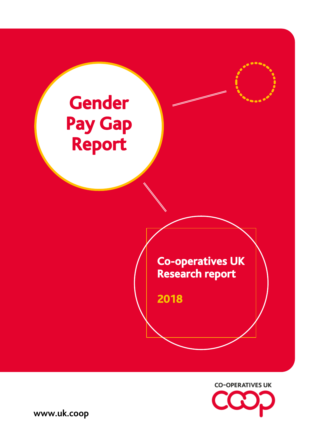



**www.uk.coop**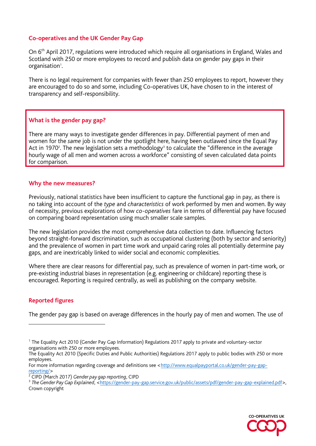# **Co-operatives and the UK Gender Pay Gap**

On 6<sup>th</sup> April 2017, regulations were introduced which require all organisations in England, Wales and Scotland with 250 or more employees to record and publish data on gender pay gaps in their organisation<sup>1</sup>.

There is no legal requirement for companies with fewer than 250 employees to report, however they are encouraged to do so and some, including Co-operatives UK, have chosen to in the interest of transparency and self-responsibility.

#### **What is the gender pay gap?**

There are many ways to investigate gender differences in pay. Differential payment of men and women for the *same* job is not under the spotlight here, having been outlawed since the Equal Pay Act in 1970<sup>2</sup>. The new legislation sets a methodology<sup>3</sup> to calculate the "difference in the average hourly wage of all men and women across a workforce" consisting of seven calculated data points for comparison.

#### **Why the new measures?**

Previously, national statistics have been insufficient to capture the functional gap in pay, as there is no taking into account of the *type* and *characteristics* of work performed by men and women. By way of necessity, previous explorations of how *co-operatives* fare in terms of differential pay have focused on comparing board representation using much smaller scale samples.

The new legislation provides the most comprehensive data collection to date. Influencing factors beyond straight-forward discrimination, such as occupational clustering (both by sector and seniority) and the prevalence of women in part time work and unpaid caring roles all potentially determine pay gaps, and are inextricably linked to wider social and economic complexities.

Where there are clear reasons for differential pay, such as prevalence of women in part-time work, or pre-existing industrial biases in representation (e.g. engineering or childcare) reporting these is encouraged. Reporting is required centrally, as well as publishing on the company website.

# **Reported figures**

The gender pay gap is based on average differences in the hourly pay of men and women. The use of

<sup>&</sup>lt;sup>3</sup> The Gender Pay Gap Explained, [<https://gender-pay-gap.service.gov.uk/public/assets/pdf/gender-pay-gap-explained.pdf>](https://gender-pay-gap.service.gov.uk/public/assets/pdf/gender-pay-gap-explained.pdf), Crown copyright



<sup>&</sup>lt;sup>1</sup> The Equality Act 2010 (Gender Pay Gap Information) Regulations 2017 apply to private and voluntary-sector organisations with 250 or more employees.

The Equality Act 2010 (Specific Duties and Public Authorities) Regulations 2017 apply to public bodies with 250 or more employees.

For more information regarding coverage and definitions see [<http://www.equalpayportal.co.uk/gender-pay-gap](http://www.equalpayportal.co.uk/gender-pay-gap-reporting/)[reporting/>](http://www.equalpayportal.co.uk/gender-pay-gap-reporting/)

<sup>2</sup> CIPD (March 2017) *Gender pay gap reporting*, CIPD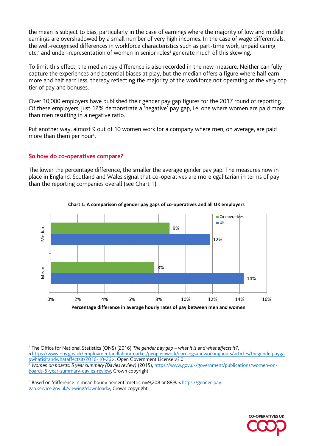the mean is subject to bias, particularly in the case of earnings where the majority of low and middle earnings are overshadowed by a small number of very high incomes. In the case of wage differentials, the well-recognised differences in workforce characteristics such as part-time work, unpaid caring etc.<sup>4</sup> and under-representation of women in senior roles<sup>5</sup> generate much of this skewing.

To limit this effect, the median pay difference is also recorded in the new measure. Neither can fully capture the experiences and potential biases at play, but the median offers a figure where half earn more and half earn less, thereby reflecting the majority of the workforce not operating at the very top tier of pay and bonuses.

Over 10,000 employers have published their gender pay gap figures for the 2017 round of reporting. Of these employers, just 12% demonstrate a 'negative' pay gap, i.e. one where women are paid more than men resulting in a negative ratio.

Put another way, almost 9 out of 10 women work for a company where men, on average, are paid more than them per hour<sup>6</sup>. .

#### **So how do co-operatives compare?**

The lower the percentage difference, the smaller the average gender pay gap. The measures now in place in England, Scotland and Wales signal that co-operatives are more egalitarian in terms of pay than the reporting companies overall (see Chart 1).



4 The Office for National Statistics (ONS) (2016) *The gender pay gap – what it is and what affects it?*,



[<sup>&</sup>lt;https://www.ons.gov.uk/employmentandlabourmarket/peopleinwork/earningsandworkinghours/articles/thegenderpayga](https://www.ons.gov.uk/employmentandlabourmarket/peopleinwork/earningsandworkinghours/articles/thegenderpaygapwhatisitandwhataffectsit/2016-10-26) [pwhatisitandwhataffectsit/2016-10-26>](https://www.ons.gov.uk/employmentandlabourmarket/peopleinwork/earningsandworkinghours/articles/thegenderpaygapwhatisitandwhataffectsit/2016-10-26), Open Government License v3.0

<sup>5</sup> *Women on boards: 5 year summary (Davies review)* (2015), [https://www.gov.uk/government/publications/women-on](https://www.gov.uk/government/publications/women-on-boards-5-year-summary-davies-review)[boards-5-year-summary-davies-review,](https://www.gov.uk/government/publications/women-on-boards-5-year-summary-davies-review) Crown copyright

<sup>&</sup>lt;sup>6</sup> Based on 'difference in mean hourly percent' metric n=9,208 or 88% <[https://gender-pay](https://gender-pay-gap.service.gov.uk/viewing/download)[gap.service.gov.uk/viewing/download>](https://gender-pay-gap.service.gov.uk/viewing/download), Crown copyright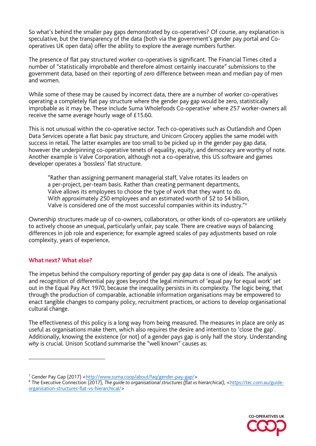So what's behind the smaller pay gaps demonstrated by co-operatives? Of course, any explanation is speculative, but the transparency of the data (both via the government's gender pay portal and Cooperatives UK open data) offer the ability to explore the average numbers further.

The presence of flat pay structured worker co-operatives is significant. The Financial Times cited a number of "statistically improbable and therefore almost certainly inaccurate" submissions to the government data, based on their reporting of *zero* difference between mean and median pay of men and women.

While some of these may be caused by incorrect data, there are a number of worker co-operatives operating a completely flat pay structure where the gender pay gap would be zero, statistically improbable as it may be. These include Suma Wholefoods Co-operative<sup>7</sup> where 257 worker-owners all receive the same average hourly wage of £15.60.

This is not unusual within the co-operative sector. Tech co-operatives such as Outlandish and Open Data Services operate a flat basic pay structure, and Unicorn Grocery applies the same model with success in retail. The latter examples are too small to be picked up in the gender pay gap data, however the underpinning co-operative tenets of equality, equity, and democracy are worthy of note. Another example is Valve Corporation, although not a co-operative, this US software and games developer operates a 'bossless' flat structure.

"Rather than assigning permanent managerial staff, Valve rotates its leaders on a per-project, per-team basis. Rather than creating permanent departments, Valve allows its employees to choose the type of work that they want to do. With approximately 250 employees and an estimated worth of \$2 to \$4 billion, Valve is considered one of the most successful companies within its industry."<sup>8</sup>

Ownership structures made up of co-owners, collaborators, or other kinds of co-operators are unlikely to actively choose an unequal, particularly unfair, pay scale. There are creative ways of balancing differences in job role and experience; for example agreed scales of pay adjustments based on role complexity, years of experience,

# **What next? What else?**

The impetus behind the compulsory reporting of gender pay gap data is one of ideals. The analysis and recognition of differential pay goes beyond the legal minimum of 'equal pay for equal work' set out in the Equal Pay Act 1970, because the inequality persists in its complexity. The logic being, that through the production of comparable, actionable information organisations may be empowered to enact tangible changes to company policy, recruitment practices, or actions to develop organisational cultural change.

The effectiveness of this policy is a long way from being measured. The measures in place are only as useful as organisations make them, which also requires the desire and intention to 'close the gap'. Additionally, knowing the existence (or not) of a gender pays gap is only half the story. Understanding *why* is crucial. Unison Scotland summarise the "well known" causes as:

<sup>&</sup>lt;sup>8</sup> The Executive Connection (2017), *The guide to organisational structures (flat vs hierarchical), [<https://tec.com.au/guide](https://tec.com.au/guide-organisation-structures-flat-vs-hierarchical/)*[organisation-structures-flat-vs-hierarchical/>](https://tec.com.au/guide-organisation-structures-flat-vs-hierarchical/)



<sup>&</sup>lt;sup>7</sup> Gender Pay Gap (2017) [<http://www.suma.coop/about/faq/gender-pay-gap/>](http://www.suma.coop/about/faq/gender-pay-gap/)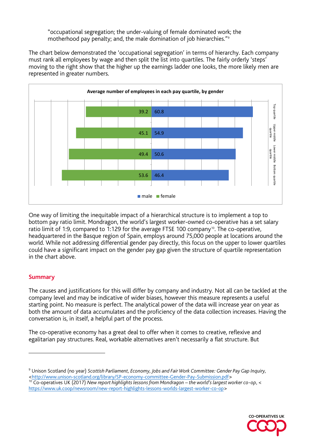"occupational segregation; the under-valuing of female dominated work; the motherhood pay penalty; and, the male domination of job hierarchies."<sup>9</sup>

The chart below demonstrated the 'occupational segregation' in terms of hierarchy. Each company must rank all employees by wage and then split the list into quartiles. The fairly orderly 'steps' moving to the right show that the higher up the earnings ladder one looks, the more likely men are represented in greater numbers.



One way of limiting the inequitable impact of a hierarchical structure is to implement a top to bottom pay ratio limit. Mondragon, the world's largest worker-owned co-operative has a set salary ratio limit of 1:9, compared to 1:129 for the average FTSE 100 company<sup>10</sup>. The co-operative, headquartered in the Basque region of Spain, employs around 75,000 people at locations around the world. While not addressing differential gender pay directly, this focus on the upper to lower quartiles could have a significant impact on the gender pay gap given the structure of quartile representation in the chart above.

# **Summary**

The causes and justifications for this will differ by company and industry. Not all can be tackled at the company level and may be indicative of wider biases, however this measure represents a useful starting point. No measure is perfect. The analytical power of the data will increase year on year as both the amount of data accumulates and the proficiency of the data collection increases. Having the conversation is, in itself, a helpful part of the process.

The co-operative economy has a great deal to offer when it comes to creative, reflexive and egalitarian pay structures. Real, workable alternatives aren't necessarily a flat structure. But

<sup>&</sup>lt;sup>10</sup> Co-operatives UK (2017) *New report highlights lessons from Mondragon – the world's largest worker co-op*, < [https://www.uk.coop/newsroom/new-report-highlights-lessons-worlds-largest-worker-co-op>](https://www.uk.coop/newsroom/new-report-highlights-lessons-worlds-largest-worker-co-op)



<sup>9</sup> Unison Scotland (no year) *Scottish Parliament, Economy, Jobs and Fair Work Committee: Gender Pay Gap Inquiry,* 

[<sup>&</sup>lt;http://www.unison-scotland.org/library/SP-economy-committee-Gender-Pay-Submission.pdf>](http://www.unison-scotland.org/library/SP-economy-committee-Gender-Pay-Submission.pdf)